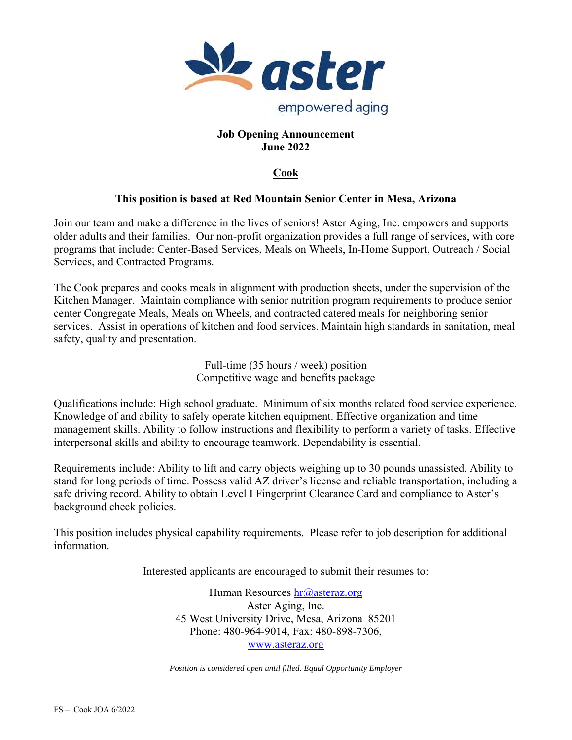

### **Job Opening Announcement June 2022**

# **Cook**

# **This position is based at Red Mountain Senior Center in Mesa, Arizona**

Join our team and make a difference in the lives of seniors! Aster Aging, Inc. empowers and supports older adults and their families. Our non-profit organization provides a full range of services, with core programs that include: Center-Based Services, Meals on Wheels, In-Home Support, Outreach / Social Services, and Contracted Programs.

The Cook prepares and cooks meals in alignment with production sheets, under the supervision of the Kitchen Manager. Maintain compliance with senior nutrition program requirements to produce senior center Congregate Meals, Meals on Wheels, and contracted catered meals for neighboring senior services. Assist in operations of kitchen and food services. Maintain high standards in sanitation, meal safety, quality and presentation.

> Full-time (35 hours / week) position Competitive wage and benefits package

Qualifications include: High school graduate. Minimum of six months related food service experience. Knowledge of and ability to safely operate kitchen equipment. Effective organization and time management skills. Ability to follow instructions and flexibility to perform a variety of tasks. Effective interpersonal skills and ability to encourage teamwork. Dependability is essential.

Requirements include: Ability to lift and carry objects weighing up to 30 pounds unassisted. Ability to stand for long periods of time. Possess valid AZ driver's license and reliable transportation, including a safe driving record. Ability to obtain Level I Fingerprint Clearance Card and compliance to Aster's background check policies.

This position includes physical capability requirements. Please refer to job description for additional information.

Interested applicants are encouraged to submit their resumes to:

Human Resources hr@asteraz.org Aster Aging, Inc. 45 West University Drive, Mesa, Arizona 85201 Phone: 480-964-9014, Fax: 480-898-7306, www.asteraz.org

*Position is considered open until filled. Equal Opportunity Employer*